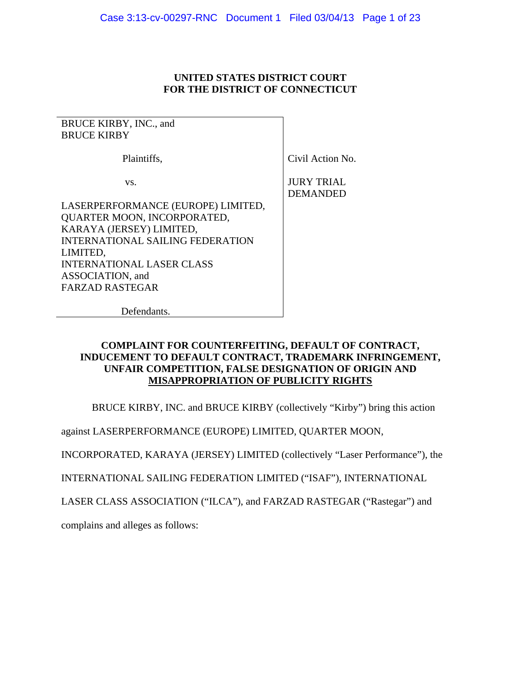# **UNITED STATES DISTRICT COURT FOR THE DISTRICT OF CONNECTICUT**

BRUCE KIRBY, INC., and BRUCE KIRBY

Plaintiffs,

vs.

LASERPERFORMANCE (EUROPE) LIMITED, QUARTER MOON, INCORPORATED, KARAYA (JERSEY) LIMITED, INTERNATIONAL SAILING FEDERATION LIMITED, INTERNATIONAL LASER CLASS ASSOCIATION, and FARZAD RASTEGAR

Civil Action No.

JURY TRIAL DEMANDED

Defendants.

# **COMPLAINT FOR COUNTERFEITING, DEFAULT OF CONTRACT, INDUCEMENT TO DEFAULT CONTRACT, TRADEMARK INFRINGEMENT, UNFAIR COMPETITION, FALSE DESIGNATION OF ORIGIN AND MISAPPROPRIATION OF PUBLICITY RIGHTS**

BRUCE KIRBY, INC. and BRUCE KIRBY (collectively "Kirby") bring this action

against LASERPERFORMANCE (EUROPE) LIMITED, QUARTER MOON,

INCORPORATED, KARAYA (JERSEY) LIMITED (collectively "Laser Performance"), the

INTERNATIONAL SAILING FEDERATION LIMITED ("ISAF"), INTERNATIONAL

LASER CLASS ASSOCIATION ("ILCA"), and FARZAD RASTEGAR ("Rastegar") and

complains and alleges as follows: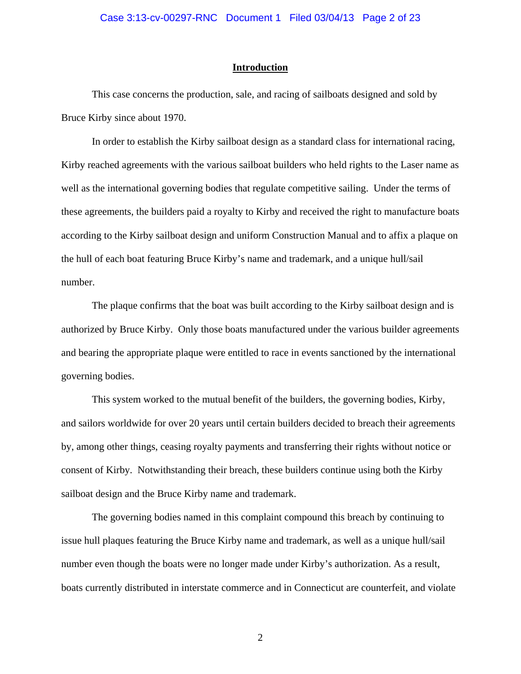## Case 3:13-cv-00297-RNC Document 1 Filed 03/04/13 Page 2 of 23

# **Introduction**

This case concerns the production, sale, and racing of sailboats designed and sold by Bruce Kirby since about 1970.

In order to establish the Kirby sailboat design as a standard class for international racing, Kirby reached agreements with the various sailboat builders who held rights to the Laser name as well as the international governing bodies that regulate competitive sailing. Under the terms of these agreements, the builders paid a royalty to Kirby and received the right to manufacture boats according to the Kirby sailboat design and uniform Construction Manual and to affix a plaque on the hull of each boat featuring Bruce Kirby's name and trademark, and a unique hull/sail number.

The plaque confirms that the boat was built according to the Kirby sailboat design and is authorized by Bruce Kirby. Only those boats manufactured under the various builder agreements and bearing the appropriate plaque were entitled to race in events sanctioned by the international governing bodies.

This system worked to the mutual benefit of the builders, the governing bodies, Kirby, and sailors worldwide for over 20 years until certain builders decided to breach their agreements by, among other things, ceasing royalty payments and transferring their rights without notice or consent of Kirby. Notwithstanding their breach, these builders continue using both the Kirby sailboat design and the Bruce Kirby name and trademark.

The governing bodies named in this complaint compound this breach by continuing to issue hull plaques featuring the Bruce Kirby name and trademark, as well as a unique hull/sail number even though the boats were no longer made under Kirby's authorization. As a result, boats currently distributed in interstate commerce and in Connecticut are counterfeit, and violate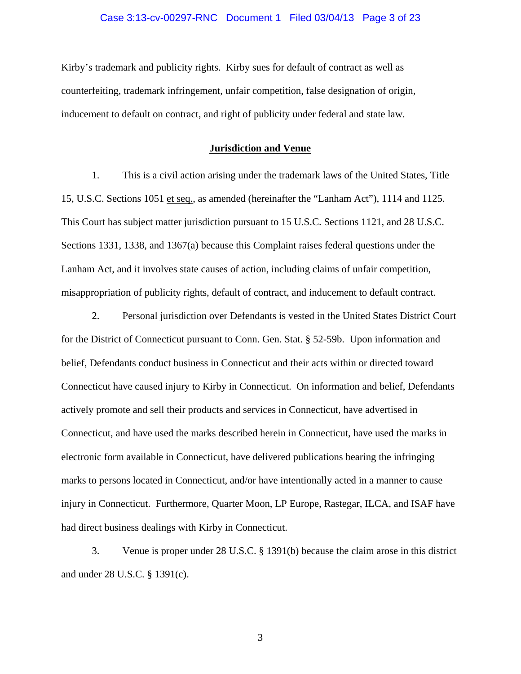## Case 3:13-cv-00297-RNC Document 1 Filed 03/04/13 Page 3 of 23

Kirby's trademark and publicity rights. Kirby sues for default of contract as well as counterfeiting, trademark infringement, unfair competition, false designation of origin, inducement to default on contract, and right of publicity under federal and state law.

# **Jurisdiction and Venue**

1. This is a civil action arising under the trademark laws of the United States, Title 15, U.S.C. Sections 1051 et seq., as amended (hereinafter the "Lanham Act"), 1114 and 1125. This Court has subject matter jurisdiction pursuant to 15 U.S.C. Sections 1121, and 28 U.S.C. Sections 1331, 1338, and 1367(a) because this Complaint raises federal questions under the Lanham Act, and it involves state causes of action, including claims of unfair competition, misappropriation of publicity rights, default of contract, and inducement to default contract.

2. Personal jurisdiction over Defendants is vested in the United States District Court for the District of Connecticut pursuant to Conn. Gen. Stat. § 52-59b. Upon information and belief, Defendants conduct business in Connecticut and their acts within or directed toward Connecticut have caused injury to Kirby in Connecticut. On information and belief, Defendants actively promote and sell their products and services in Connecticut, have advertised in Connecticut, and have used the marks described herein in Connecticut, have used the marks in electronic form available in Connecticut, have delivered publications bearing the infringing marks to persons located in Connecticut, and/or have intentionally acted in a manner to cause injury in Connecticut. Furthermore, Quarter Moon, LP Europe, Rastegar, ILCA, and ISAF have had direct business dealings with Kirby in Connecticut.

3. Venue is proper under 28 U.S.C. § 1391(b) because the claim arose in this district and under 28 U.S.C. § 1391(c).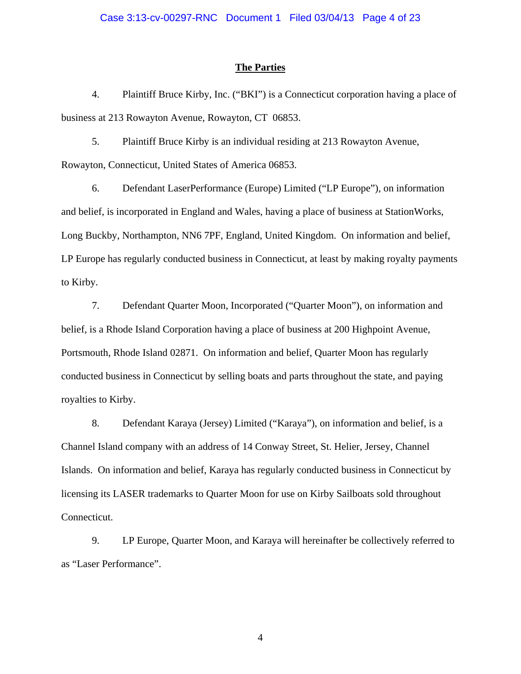## **The Parties**

4. Plaintiff Bruce Kirby, Inc. ("BKI") is a Connecticut corporation having a place of business at 213 Rowayton Avenue, Rowayton, CT 06853.

5. Plaintiff Bruce Kirby is an individual residing at 213 Rowayton Avenue, Rowayton, Connecticut, United States of America 06853.

6. Defendant LaserPerformance (Europe) Limited ("LP Europe"), on information and belief, is incorporated in England and Wales, having a place of business at StationWorks, Long Buckby, Northampton, NN6 7PF, England, United Kingdom. On information and belief, LP Europe has regularly conducted business in Connecticut, at least by making royalty payments to Kirby.

7. Defendant Quarter Moon, Incorporated ("Quarter Moon"), on information and belief, is a Rhode Island Corporation having a place of business at 200 Highpoint Avenue, Portsmouth, Rhode Island 02871. On information and belief, Quarter Moon has regularly conducted business in Connecticut by selling boats and parts throughout the state, and paying royalties to Kirby.

8. Defendant Karaya (Jersey) Limited ("Karaya"), on information and belief, is a Channel Island company with an address of 14 Conway Street, St. Helier, Jersey, Channel Islands. On information and belief, Karaya has regularly conducted business in Connecticut by licensing its LASER trademarks to Quarter Moon for use on Kirby Sailboats sold throughout Connecticut.

9. LP Europe, Quarter Moon, and Karaya will hereinafter be collectively referred to as "Laser Performance".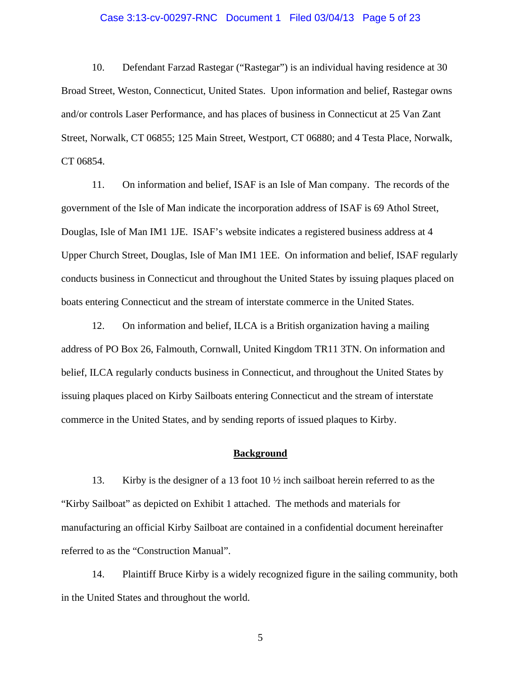## Case 3:13-cv-00297-RNC Document 1 Filed 03/04/13 Page 5 of 23

10. Defendant Farzad Rastegar ("Rastegar") is an individual having residence at 30 Broad Street, Weston, Connecticut, United States. Upon information and belief, Rastegar owns and/or controls Laser Performance, and has places of business in Connecticut at 25 Van Zant Street, Norwalk, CT 06855; 125 Main Street, Westport, CT 06880; and 4 Testa Place, Norwalk, CT 06854.

11. On information and belief, ISAF is an Isle of Man company. The records of the government of the Isle of Man indicate the incorporation address of ISAF is 69 Athol Street, Douglas, Isle of Man IM1 1JE. ISAF's website indicates a registered business address at 4 Upper Church Street, Douglas, Isle of Man IM1 1EE. On information and belief, ISAF regularly conducts business in Connecticut and throughout the United States by issuing plaques placed on boats entering Connecticut and the stream of interstate commerce in the United States.

12. On information and belief, ILCA is a British organization having a mailing address of PO Box 26, Falmouth, Cornwall, United Kingdom TR11 3TN. On information and belief, ILCA regularly conducts business in Connecticut, and throughout the United States by issuing plaques placed on Kirby Sailboats entering Connecticut and the stream of interstate commerce in the United States, and by sending reports of issued plaques to Kirby.

# **Background**

13. Kirby is the designer of a 13 foot 10 ½ inch sailboat herein referred to as the "Kirby Sailboat" as depicted on Exhibit 1 attached. The methods and materials for manufacturing an official Kirby Sailboat are contained in a confidential document hereinafter referred to as the "Construction Manual".

14. Plaintiff Bruce Kirby is a widely recognized figure in the sailing community, both in the United States and throughout the world.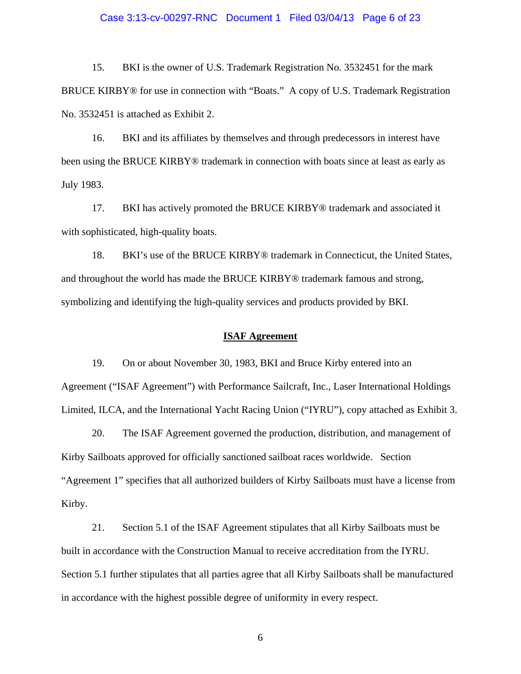## Case 3:13-cv-00297-RNC Document 1 Filed 03/04/13 Page 6 of 23

15. BKI is the owner of U.S. Trademark Registration No. 3532451 for the mark BRUCE KIRBY® for use in connection with "Boats." A copy of U.S. Trademark Registration No. 3532451 is attached as Exhibit 2.

16. BKI and its affiliates by themselves and through predecessors in interest have been using the BRUCE KIRBY® trademark in connection with boats since at least as early as July 1983.

17. BKI has actively promoted the BRUCE KIRBY® trademark and associated it with sophisticated, high-quality boats.

18. BKI's use of the BRUCE KIRBY® trademark in Connecticut, the United States, and throughout the world has made the BRUCE KIRBY® trademark famous and strong, symbolizing and identifying the high-quality services and products provided by BKI.

## **ISAF Agreement**

19. On or about November 30, 1983, BKI and Bruce Kirby entered into an Agreement ("ISAF Agreement") with Performance Sailcraft, Inc., Laser International Holdings Limited, ILCA, and the International Yacht Racing Union ("IYRU"), copy attached as Exhibit 3.

20. The ISAF Agreement governed the production, distribution, and management of Kirby Sailboats approved for officially sanctioned sailboat races worldwide. Section "Agreement 1" specifies that all authorized builders of Kirby Sailboats must have a license from Kirby.

21. Section 5.1 of the ISAF Agreement stipulates that all Kirby Sailboats must be built in accordance with the Construction Manual to receive accreditation from the IYRU. Section 5.1 further stipulates that all parties agree that all Kirby Sailboats shall be manufactured in accordance with the highest possible degree of uniformity in every respect.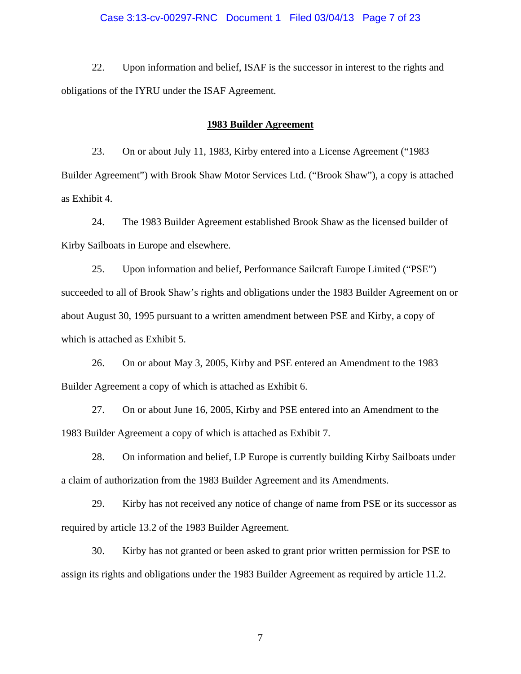## Case 3:13-cv-00297-RNC Document 1 Filed 03/04/13 Page 7 of 23

22. Upon information and belief, ISAF is the successor in interest to the rights and obligations of the IYRU under the ISAF Agreement.

#### **1983 Builder Agreement**

23. On or about July 11, 1983, Kirby entered into a License Agreement ("1983 Builder Agreement") with Brook Shaw Motor Services Ltd. ("Brook Shaw"), a copy is attached as Exhibit 4.

24. The 1983 Builder Agreement established Brook Shaw as the licensed builder of Kirby Sailboats in Europe and elsewhere.

25. Upon information and belief, Performance Sailcraft Europe Limited ("PSE") succeeded to all of Brook Shaw's rights and obligations under the 1983 Builder Agreement on or about August 30, 1995 pursuant to a written amendment between PSE and Kirby, a copy of which is attached as Exhibit 5.

26. On or about May 3, 2005, Kirby and PSE entered an Amendment to the 1983 Builder Agreement a copy of which is attached as Exhibit 6.

27. On or about June 16, 2005, Kirby and PSE entered into an Amendment to the 1983 Builder Agreement a copy of which is attached as Exhibit 7.

28. On information and belief, LP Europe is currently building Kirby Sailboats under a claim of authorization from the 1983 Builder Agreement and its Amendments.

29. Kirby has not received any notice of change of name from PSE or its successor as required by article 13.2 of the 1983 Builder Agreement.

30. Kirby has not granted or been asked to grant prior written permission for PSE to assign its rights and obligations under the 1983 Builder Agreement as required by article 11.2.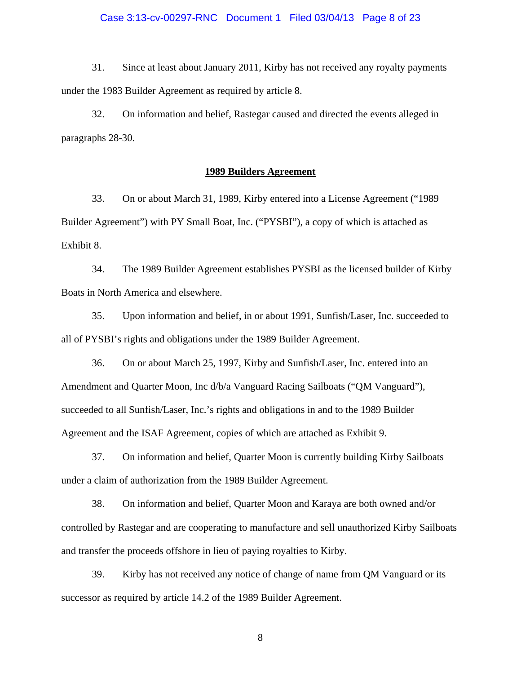## Case 3:13-cv-00297-RNC Document 1 Filed 03/04/13 Page 8 of 23

31. Since at least about January 2011, Kirby has not received any royalty payments under the 1983 Builder Agreement as required by article 8.

32. On information and belief, Rastegar caused and directed the events alleged in paragraphs 28-30.

# **1989 Builders Agreement**

33. On or about March 31, 1989, Kirby entered into a License Agreement ("1989 Builder Agreement") with PY Small Boat, Inc. ("PYSBI"), a copy of which is attached as Exhibit 8.

34. The 1989 Builder Agreement establishes PYSBI as the licensed builder of Kirby Boats in North America and elsewhere.

35. Upon information and belief, in or about 1991, Sunfish/Laser, Inc. succeeded to all of PYSBI's rights and obligations under the 1989 Builder Agreement.

36. On or about March 25, 1997, Kirby and Sunfish/Laser, Inc. entered into an Amendment and Quarter Moon, Inc d/b/a Vanguard Racing Sailboats ("QM Vanguard"), succeeded to all Sunfish/Laser, Inc.'s rights and obligations in and to the 1989 Builder Agreement and the ISAF Agreement, copies of which are attached as Exhibit 9.

37. On information and belief, Quarter Moon is currently building Kirby Sailboats under a claim of authorization from the 1989 Builder Agreement.

38. On information and belief, Quarter Moon and Karaya are both owned and/or controlled by Rastegar and are cooperating to manufacture and sell unauthorized Kirby Sailboats and transfer the proceeds offshore in lieu of paying royalties to Kirby.

39. Kirby has not received any notice of change of name from QM Vanguard or its successor as required by article 14.2 of the 1989 Builder Agreement.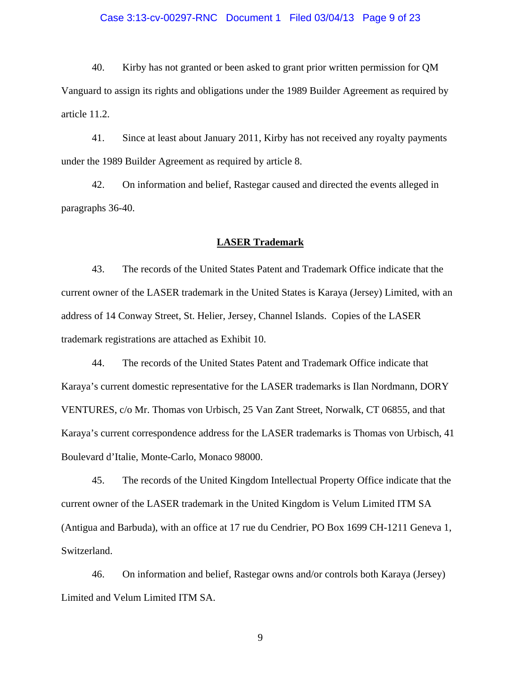## Case 3:13-cv-00297-RNC Document 1 Filed 03/04/13 Page 9 of 23

40. Kirby has not granted or been asked to grant prior written permission for QM Vanguard to assign its rights and obligations under the 1989 Builder Agreement as required by article 11.2.

41. Since at least about January 2011, Kirby has not received any royalty payments under the 1989 Builder Agreement as required by article 8.

42. On information and belief, Rastegar caused and directed the events alleged in paragraphs 36-40.

#### **LASER Trademark**

43. The records of the United States Patent and Trademark Office indicate that the current owner of the LASER trademark in the United States is Karaya (Jersey) Limited, with an address of 14 Conway Street, St. Helier, Jersey, Channel Islands. Copies of the LASER trademark registrations are attached as Exhibit 10.

44. The records of the United States Patent and Trademark Office indicate that Karaya's current domestic representative for the LASER trademarks is Ilan Nordmann, DORY VENTURES, c/o Mr. Thomas von Urbisch, 25 Van Zant Street, Norwalk, CT 06855, and that Karaya's current correspondence address for the LASER trademarks is Thomas von Urbisch, 41 Boulevard d'Italie, Monte-Carlo, Monaco 98000.

45. The records of the United Kingdom Intellectual Property Office indicate that the current owner of the LASER trademark in the United Kingdom is Velum Limited ITM SA (Antigua and Barbuda), with an office at 17 rue du Cendrier, PO Box 1699 CH-1211 Geneva 1, Switzerland.

46. On information and belief, Rastegar owns and/or controls both Karaya (Jersey) Limited and Velum Limited ITM SA.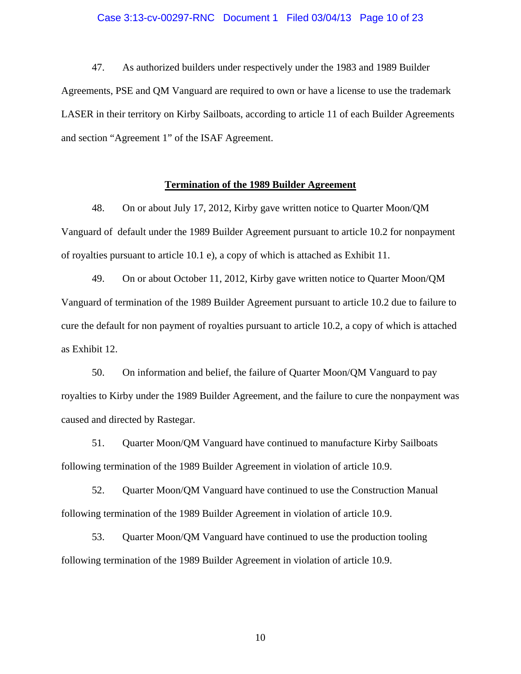#### Case 3:13-cv-00297-RNC Document 1 Filed 03/04/13 Page 10 of 23

47. As authorized builders under respectively under the 1983 and 1989 Builder Agreements, PSE and QM Vanguard are required to own or have a license to use the trademark LASER in their territory on Kirby Sailboats, according to article 11 of each Builder Agreements and section "Agreement 1" of the ISAF Agreement.

#### **Termination of the 1989 Builder Agreement**

48. On or about July 17, 2012, Kirby gave written notice to Quarter Moon/QM Vanguard of default under the 1989 Builder Agreement pursuant to article 10.2 for nonpayment of royalties pursuant to article 10.1 e), a copy of which is attached as Exhibit 11.

49. On or about October 11, 2012, Kirby gave written notice to Quarter Moon/QM Vanguard of termination of the 1989 Builder Agreement pursuant to article 10.2 due to failure to cure the default for non payment of royalties pursuant to article 10.2, a copy of which is attached as Exhibit 12.

50. On information and belief, the failure of Quarter Moon/QM Vanguard to pay royalties to Kirby under the 1989 Builder Agreement, and the failure to cure the nonpayment was caused and directed by Rastegar.

51. Quarter Moon/QM Vanguard have continued to manufacture Kirby Sailboats following termination of the 1989 Builder Agreement in violation of article 10.9.

52. Quarter Moon/QM Vanguard have continued to use the Construction Manual following termination of the 1989 Builder Agreement in violation of article 10.9.

53. Quarter Moon/QM Vanguard have continued to use the production tooling following termination of the 1989 Builder Agreement in violation of article 10.9.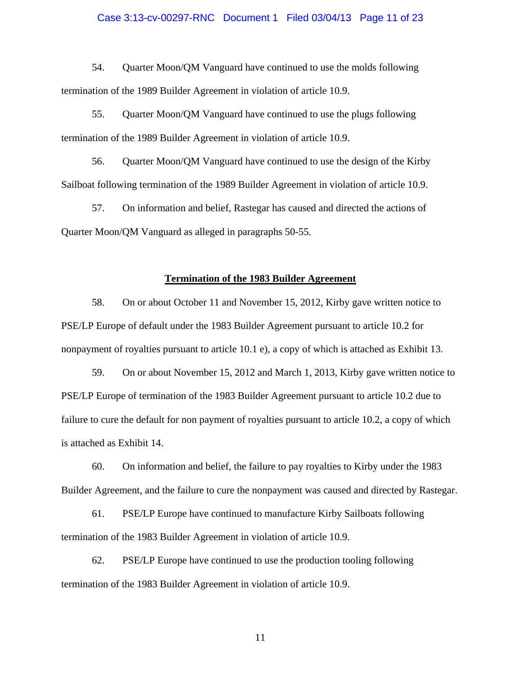#### Case 3:13-cv-00297-RNC Document 1 Filed 03/04/13 Page 11 of 23

54. Quarter Moon/QM Vanguard have continued to use the molds following termination of the 1989 Builder Agreement in violation of article 10.9.

55. Quarter Moon/QM Vanguard have continued to use the plugs following termination of the 1989 Builder Agreement in violation of article 10.9.

56. Quarter Moon/QM Vanguard have continued to use the design of the Kirby Sailboat following termination of the 1989 Builder Agreement in violation of article 10.9.

57. On information and belief, Rastegar has caused and directed the actions of Quarter Moon/QM Vanguard as alleged in paragraphs 50-55.

#### **Termination of the 1983 Builder Agreement**

58. On or about October 11 and November 15, 2012, Kirby gave written notice to PSE/LP Europe of default under the 1983 Builder Agreement pursuant to article 10.2 for nonpayment of royalties pursuant to article 10.1 e), a copy of which is attached as Exhibit 13.

59. On or about November 15, 2012 and March 1, 2013, Kirby gave written notice to PSE/LP Europe of termination of the 1983 Builder Agreement pursuant to article 10.2 due to failure to cure the default for non payment of royalties pursuant to article 10.2, a copy of which is attached as Exhibit 14.

60. On information and belief, the failure to pay royalties to Kirby under the 1983 Builder Agreement, and the failure to cure the nonpayment was caused and directed by Rastegar.

61. PSE/LP Europe have continued to manufacture Kirby Sailboats following termination of the 1983 Builder Agreement in violation of article 10.9.

62. PSE/LP Europe have continued to use the production tooling following termination of the 1983 Builder Agreement in violation of article 10.9.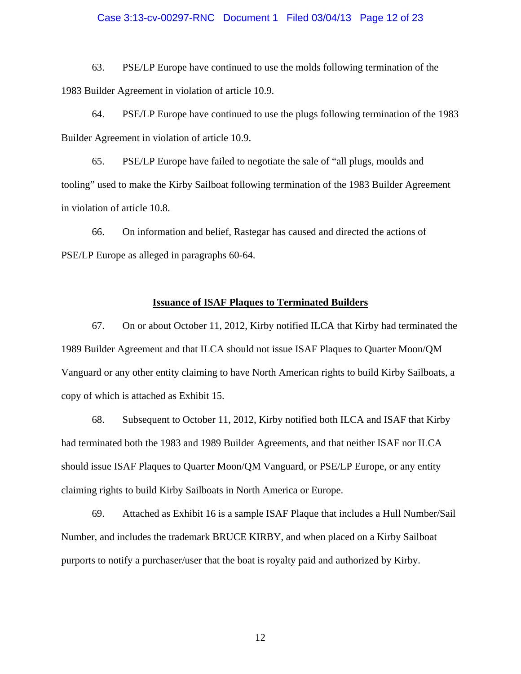#### Case 3:13-cv-00297-RNC Document 1 Filed 03/04/13 Page 12 of 23

63. PSE/LP Europe have continued to use the molds following termination of the 1983 Builder Agreement in violation of article 10.9.

64. PSE/LP Europe have continued to use the plugs following termination of the 1983 Builder Agreement in violation of article 10.9.

65. PSE/LP Europe have failed to negotiate the sale of "all plugs, moulds and tooling" used to make the Kirby Sailboat following termination of the 1983 Builder Agreement in violation of article 10.8.

66. On information and belief, Rastegar has caused and directed the actions of PSE/LP Europe as alleged in paragraphs 60-64.

#### **Issuance of ISAF Plaques to Terminated Builders**

67. On or about October 11, 2012, Kirby notified ILCA that Kirby had terminated the 1989 Builder Agreement and that ILCA should not issue ISAF Plaques to Quarter Moon/QM Vanguard or any other entity claiming to have North American rights to build Kirby Sailboats, a copy of which is attached as Exhibit 15.

68. Subsequent to October 11, 2012, Kirby notified both ILCA and ISAF that Kirby had terminated both the 1983 and 1989 Builder Agreements, and that neither ISAF nor ILCA should issue ISAF Plaques to Quarter Moon/QM Vanguard, or PSE/LP Europe, or any entity claiming rights to build Kirby Sailboats in North America or Europe.

69. Attached as Exhibit 16 is a sample ISAF Plaque that includes a Hull Number/Sail Number, and includes the trademark BRUCE KIRBY, and when placed on a Kirby Sailboat purports to notify a purchaser/user that the boat is royalty paid and authorized by Kirby.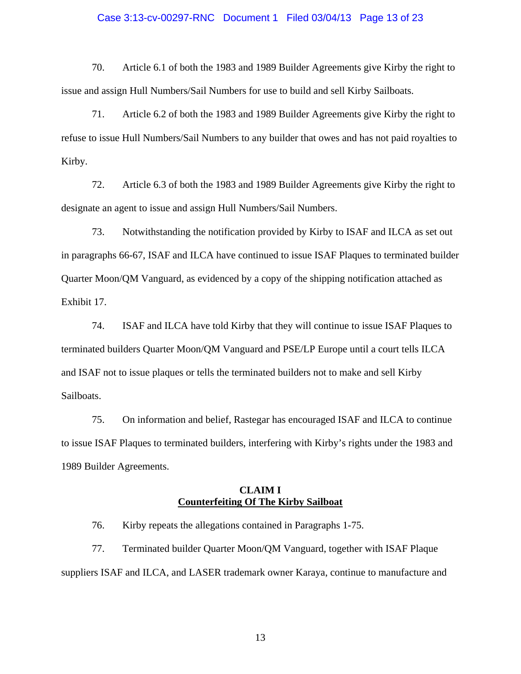## Case 3:13-cv-00297-RNC Document 1 Filed 03/04/13 Page 13 of 23

70. Article 6.1 of both the 1983 and 1989 Builder Agreements give Kirby the right to issue and assign Hull Numbers/Sail Numbers for use to build and sell Kirby Sailboats.

71. Article 6.2 of both the 1983 and 1989 Builder Agreements give Kirby the right to refuse to issue Hull Numbers/Sail Numbers to any builder that owes and has not paid royalties to Kirby.

72. Article 6.3 of both the 1983 and 1989 Builder Agreements give Kirby the right to designate an agent to issue and assign Hull Numbers/Sail Numbers.

73. Notwithstanding the notification provided by Kirby to ISAF and ILCA as set out in paragraphs 66-67, ISAF and ILCA have continued to issue ISAF Plaques to terminated builder Quarter Moon/QM Vanguard, as evidenced by a copy of the shipping notification attached as Exhibit 17.

74. ISAF and ILCA have told Kirby that they will continue to issue ISAF Plaques to terminated builders Quarter Moon/QM Vanguard and PSE/LP Europe until a court tells ILCA and ISAF not to issue plaques or tells the terminated builders not to make and sell Kirby Sailboats.

75. On information and belief, Rastegar has encouraged ISAF and ILCA to continue to issue ISAF Plaques to terminated builders, interfering with Kirby's rights under the 1983 and 1989 Builder Agreements.

# **CLAIM I Counterfeiting Of The Kirby Sailboat**

76. Kirby repeats the allegations contained in Paragraphs 1-75.

77. Terminated builder Quarter Moon/QM Vanguard, together with ISAF Plaque suppliers ISAF and ILCA, and LASER trademark owner Karaya, continue to manufacture and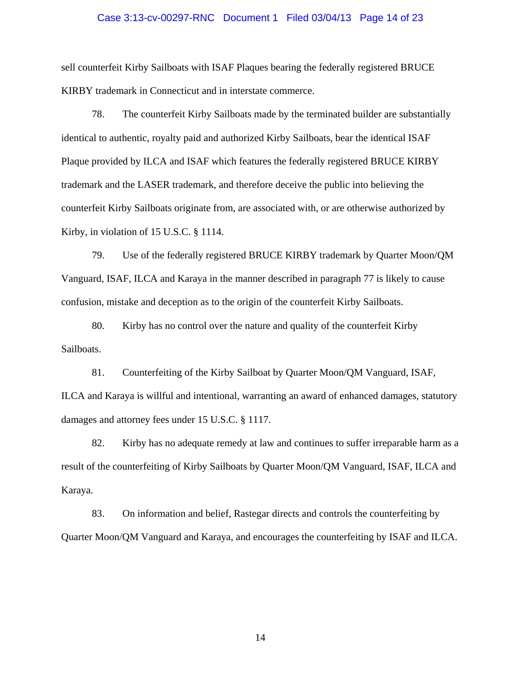## Case 3:13-cv-00297-RNC Document 1 Filed 03/04/13 Page 14 of 23

sell counterfeit Kirby Sailboats with ISAF Plaques bearing the federally registered BRUCE KIRBY trademark in Connecticut and in interstate commerce.

78. The counterfeit Kirby Sailboats made by the terminated builder are substantially identical to authentic, royalty paid and authorized Kirby Sailboats, bear the identical ISAF Plaque provided by ILCA and ISAF which features the federally registered BRUCE KIRBY trademark and the LASER trademark, and therefore deceive the public into believing the counterfeit Kirby Sailboats originate from, are associated with, or are otherwise authorized by Kirby, in violation of 15 U.S.C. § 1114.

79. Use of the federally registered BRUCE KIRBY trademark by Quarter Moon/QM Vanguard, ISAF, ILCA and Karaya in the manner described in paragraph 77 is likely to cause confusion, mistake and deception as to the origin of the counterfeit Kirby Sailboats.

80. Kirby has no control over the nature and quality of the counterfeit Kirby Sailboats.

81. Counterfeiting of the Kirby Sailboat by Quarter Moon/QM Vanguard, ISAF, ILCA and Karaya is willful and intentional, warranting an award of enhanced damages, statutory damages and attorney fees under 15 U.S.C. § 1117.

82. Kirby has no adequate remedy at law and continues to suffer irreparable harm as a result of the counterfeiting of Kirby Sailboats by Quarter Moon/QM Vanguard, ISAF, ILCA and Karaya.

83. On information and belief, Rastegar directs and controls the counterfeiting by Quarter Moon/QM Vanguard and Karaya, and encourages the counterfeiting by ISAF and ILCA.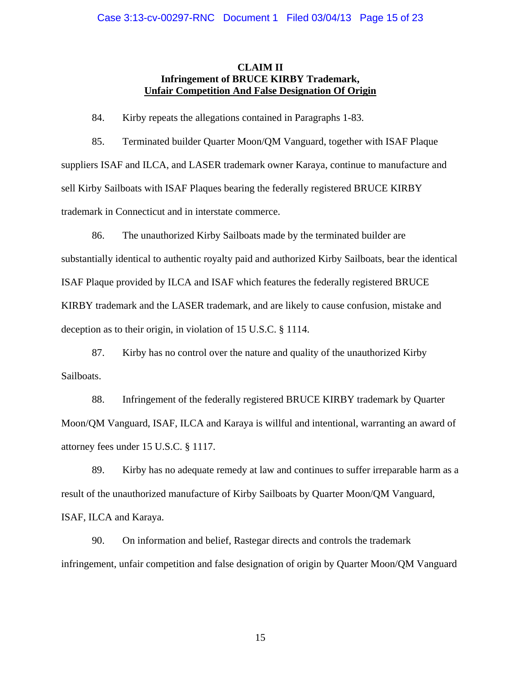# **CLAIM II Infringement of BRUCE KIRBY Trademark, Unfair Competition And False Designation Of Origin**

84. Kirby repeats the allegations contained in Paragraphs 1-83.

85. Terminated builder Quarter Moon/QM Vanguard, together with ISAF Plaque suppliers ISAF and ILCA, and LASER trademark owner Karaya, continue to manufacture and sell Kirby Sailboats with ISAF Plaques bearing the federally registered BRUCE KIRBY trademark in Connecticut and in interstate commerce.

86. The unauthorized Kirby Sailboats made by the terminated builder are substantially identical to authentic royalty paid and authorized Kirby Sailboats, bear the identical ISAF Plaque provided by ILCA and ISAF which features the federally registered BRUCE KIRBY trademark and the LASER trademark, and are likely to cause confusion, mistake and deception as to their origin, in violation of 15 U.S.C. § 1114.

87. Kirby has no control over the nature and quality of the unauthorized Kirby Sailboats.

88. Infringement of the federally registered BRUCE KIRBY trademark by Quarter Moon/QM Vanguard, ISAF, ILCA and Karaya is willful and intentional, warranting an award of attorney fees under 15 U.S.C. § 1117.

89. Kirby has no adequate remedy at law and continues to suffer irreparable harm as a result of the unauthorized manufacture of Kirby Sailboats by Quarter Moon/QM Vanguard, ISAF, ILCA and Karaya.

90. On information and belief, Rastegar directs and controls the trademark infringement, unfair competition and false designation of origin by Quarter Moon/QM Vanguard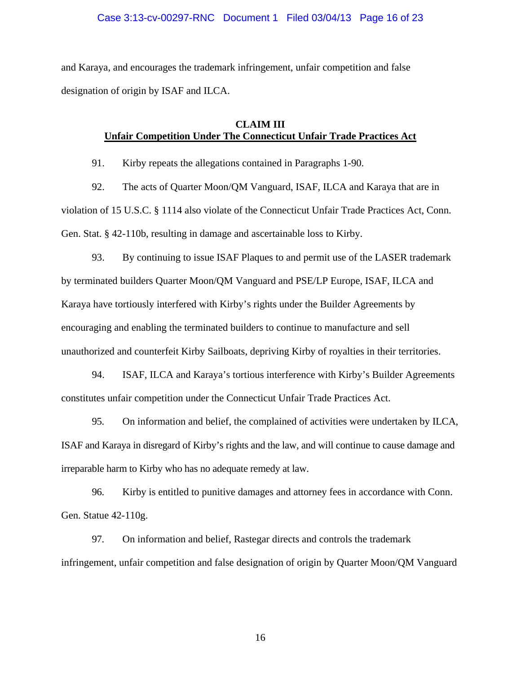# Case 3:13-cv-00297-RNC Document 1 Filed 03/04/13 Page 16 of 23

and Karaya, and encourages the trademark infringement, unfair competition and false designation of origin by ISAF and ILCA.

# **CLAIM III Unfair Competition Under The Connecticut Unfair Trade Practices Act**

91. Kirby repeats the allegations contained in Paragraphs 1-90.

92. The acts of Quarter Moon/QM Vanguard, ISAF, ILCA and Karaya that are in violation of 15 U.S.C. § 1114 also violate of the Connecticut Unfair Trade Practices Act, Conn. Gen. Stat. § 42-110b, resulting in damage and ascertainable loss to Kirby.

93. By continuing to issue ISAF Plaques to and permit use of the LASER trademark by terminated builders Quarter Moon/QM Vanguard and PSE/LP Europe, ISAF, ILCA and Karaya have tortiously interfered with Kirby's rights under the Builder Agreements by encouraging and enabling the terminated builders to continue to manufacture and sell unauthorized and counterfeit Kirby Sailboats, depriving Kirby of royalties in their territories.

94. ISAF, ILCA and Karaya's tortious interference with Kirby's Builder Agreements constitutes unfair competition under the Connecticut Unfair Trade Practices Act.

95. On information and belief, the complained of activities were undertaken by ILCA, ISAF and Karaya in disregard of Kirby's rights and the law, and will continue to cause damage and irreparable harm to Kirby who has no adequate remedy at law.

96. Kirby is entitled to punitive damages and attorney fees in accordance with Conn. Gen. Statue 42-110g.

97. On information and belief, Rastegar directs and controls the trademark infringement, unfair competition and false designation of origin by Quarter Moon/QM Vanguard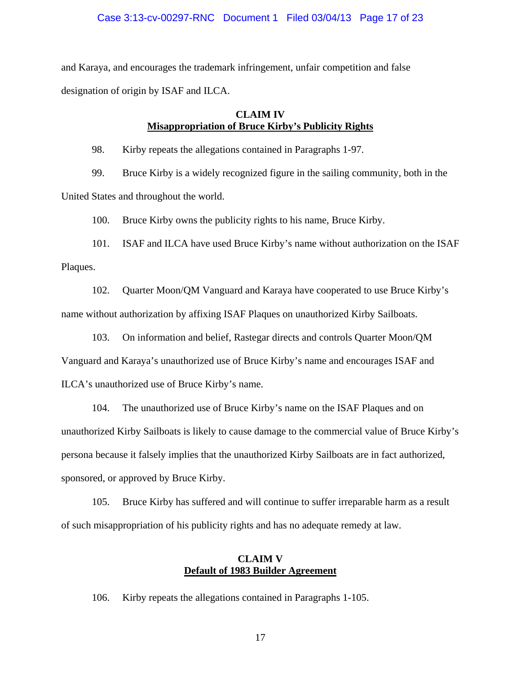# Case 3:13-cv-00297-RNC Document 1 Filed 03/04/13 Page 17 of 23

and Karaya, and encourages the trademark infringement, unfair competition and false designation of origin by ISAF and ILCA.

# **CLAIM IV Misappropriation of Bruce Kirby's Publicity Rights**

98. Kirby repeats the allegations contained in Paragraphs 1-97.

99. Bruce Kirby is a widely recognized figure in the sailing community, both in the United States and throughout the world.

100. Bruce Kirby owns the publicity rights to his name, Bruce Kirby.

101. ISAF and ILCA have used Bruce Kirby's name without authorization on the ISAF Plaques.

102. Quarter Moon/QM Vanguard and Karaya have cooperated to use Bruce Kirby's name without authorization by affixing ISAF Plaques on unauthorized Kirby Sailboats.

103. On information and belief, Rastegar directs and controls Quarter Moon/QM

Vanguard and Karaya's unauthorized use of Bruce Kirby's name and encourages ISAF and

ILCA's unauthorized use of Bruce Kirby's name.

104. The unauthorized use of Bruce Kirby's name on the ISAF Plaques and on unauthorized Kirby Sailboats is likely to cause damage to the commercial value of Bruce Kirby's persona because it falsely implies that the unauthorized Kirby Sailboats are in fact authorized, sponsored, or approved by Bruce Kirby.

105. Bruce Kirby has suffered and will continue to suffer irreparable harm as a result of such misappropriation of his publicity rights and has no adequate remedy at law.

# **CLAIM V Default of 1983 Builder Agreement**

106. Kirby repeats the allegations contained in Paragraphs 1-105.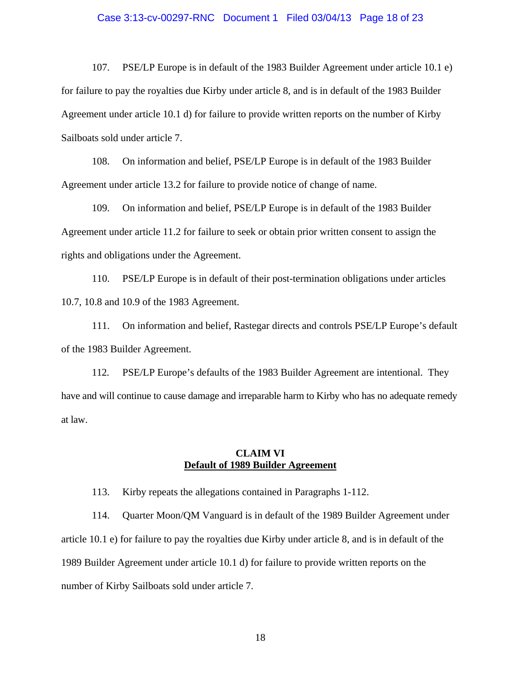#### Case 3:13-cv-00297-RNC Document 1 Filed 03/04/13 Page 18 of 23

107. PSE/LP Europe is in default of the 1983 Builder Agreement under article 10.1 e) for failure to pay the royalties due Kirby under article 8, and is in default of the 1983 Builder Agreement under article 10.1 d) for failure to provide written reports on the number of Kirby Sailboats sold under article 7.

108. On information and belief, PSE/LP Europe is in default of the 1983 Builder Agreement under article 13.2 for failure to provide notice of change of name.

109. On information and belief, PSE/LP Europe is in default of the 1983 Builder Agreement under article 11.2 for failure to seek or obtain prior written consent to assign the rights and obligations under the Agreement.

110. PSE/LP Europe is in default of their post-termination obligations under articles 10.7, 10.8 and 10.9 of the 1983 Agreement.

111. On information and belief, Rastegar directs and controls PSE/LP Europe's default of the 1983 Builder Agreement.

112. PSE/LP Europe's defaults of the 1983 Builder Agreement are intentional. They have and will continue to cause damage and irreparable harm to Kirby who has no adequate remedy at law.

# **CLAIM VI Default of 1989 Builder Agreement**

113. Kirby repeats the allegations contained in Paragraphs 1-112.

114. Quarter Moon/QM Vanguard is in default of the 1989 Builder Agreement under article 10.1 e) for failure to pay the royalties due Kirby under article 8, and is in default of the 1989 Builder Agreement under article 10.1 d) for failure to provide written reports on the number of Kirby Sailboats sold under article 7.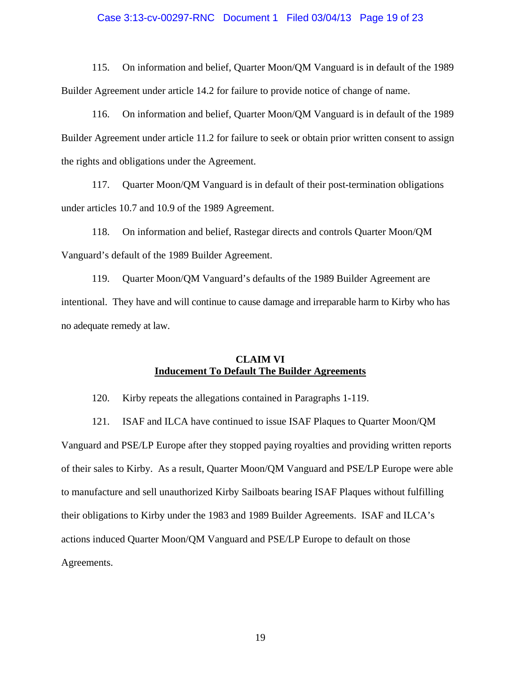#### Case 3:13-cv-00297-RNC Document 1 Filed 03/04/13 Page 19 of 23

115. On information and belief, Quarter Moon/QM Vanguard is in default of the 1989 Builder Agreement under article 14.2 for failure to provide notice of change of name.

116. On information and belief, Quarter Moon/QM Vanguard is in default of the 1989 Builder Agreement under article 11.2 for failure to seek or obtain prior written consent to assign the rights and obligations under the Agreement.

117. Quarter Moon/QM Vanguard is in default of their post-termination obligations under articles 10.7 and 10.9 of the 1989 Agreement.

118. On information and belief, Rastegar directs and controls Quarter Moon/QM Vanguard's default of the 1989 Builder Agreement.

119. Quarter Moon/QM Vanguard's defaults of the 1989 Builder Agreement are intentional. They have and will continue to cause damage and irreparable harm to Kirby who has no adequate remedy at law.

# **CLAIM VI Inducement To Default The Builder Agreements**

120. Kirby repeats the allegations contained in Paragraphs 1-119.

121. ISAF and ILCA have continued to issue ISAF Plaques to Quarter Moon/QM Vanguard and PSE/LP Europe after they stopped paying royalties and providing written reports of their sales to Kirby. As a result, Quarter Moon/QM Vanguard and PSE/LP Europe were able to manufacture and sell unauthorized Kirby Sailboats bearing ISAF Plaques without fulfilling their obligations to Kirby under the 1983 and 1989 Builder Agreements. ISAF and ILCA's actions induced Quarter Moon/QM Vanguard and PSE/LP Europe to default on those Agreements.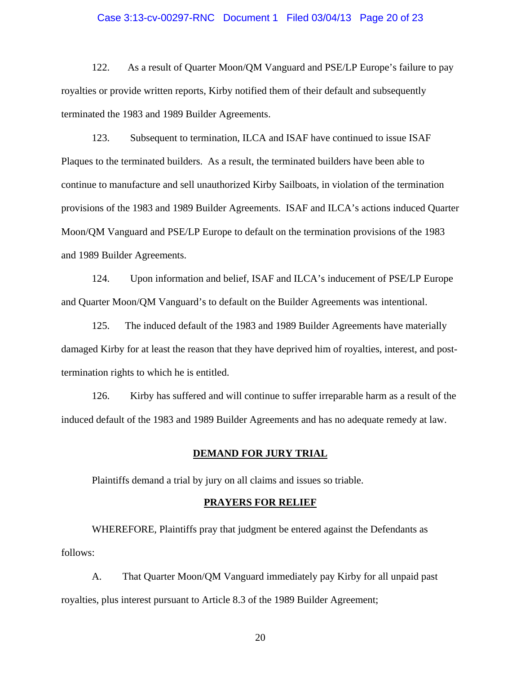## Case 3:13-cv-00297-RNC Document 1 Filed 03/04/13 Page 20 of 23

122. As a result of Quarter Moon/QM Vanguard and PSE/LP Europe's failure to pay royalties or provide written reports, Kirby notified them of their default and subsequently terminated the 1983 and 1989 Builder Agreements.

123. Subsequent to termination, ILCA and ISAF have continued to issue ISAF Plaques to the terminated builders. As a result, the terminated builders have been able to continue to manufacture and sell unauthorized Kirby Sailboats, in violation of the termination provisions of the 1983 and 1989 Builder Agreements. ISAF and ILCA's actions induced Quarter Moon/QM Vanguard and PSE/LP Europe to default on the termination provisions of the 1983 and 1989 Builder Agreements.

124. Upon information and belief, ISAF and ILCA's inducement of PSE/LP Europe and Quarter Moon/QM Vanguard's to default on the Builder Agreements was intentional.

125. The induced default of the 1983 and 1989 Builder Agreements have materially damaged Kirby for at least the reason that they have deprived him of royalties, interest, and posttermination rights to which he is entitled.

126. Kirby has suffered and will continue to suffer irreparable harm as a result of the induced default of the 1983 and 1989 Builder Agreements and has no adequate remedy at law.

#### **DEMAND FOR JURY TRIAL**

Plaintiffs demand a trial by jury on all claims and issues so triable.

## **PRAYERS FOR RELIEF**

WHEREFORE, Plaintiffs pray that judgment be entered against the Defendants as follows:

A. That Quarter Moon/QM Vanguard immediately pay Kirby for all unpaid past royalties, plus interest pursuant to Article 8.3 of the 1989 Builder Agreement;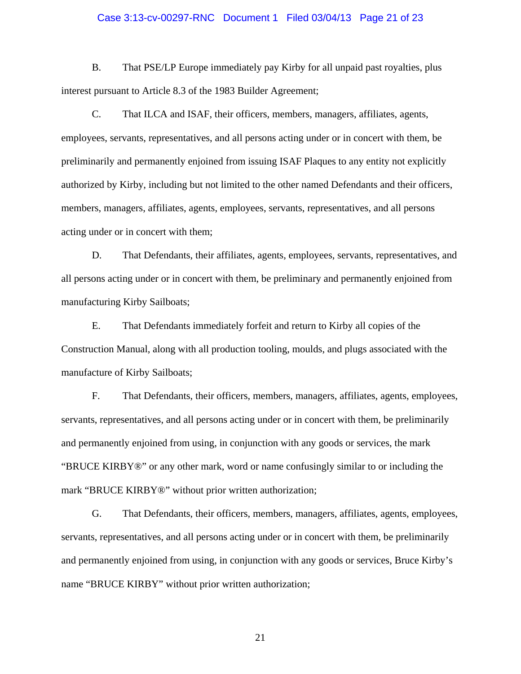## Case 3:13-cv-00297-RNC Document 1 Filed 03/04/13 Page 21 of 23

B. That PSE/LP Europe immediately pay Kirby for all unpaid past royalties, plus interest pursuant to Article 8.3 of the 1983 Builder Agreement;

C. That ILCA and ISAF, their officers, members, managers, affiliates, agents, employees, servants, representatives, and all persons acting under or in concert with them, be preliminarily and permanently enjoined from issuing ISAF Plaques to any entity not explicitly authorized by Kirby, including but not limited to the other named Defendants and their officers, members, managers, affiliates, agents, employees, servants, representatives, and all persons acting under or in concert with them;

D. That Defendants, their affiliates, agents, employees, servants, representatives, and all persons acting under or in concert with them, be preliminary and permanently enjoined from manufacturing Kirby Sailboats;

E. That Defendants immediately forfeit and return to Kirby all copies of the Construction Manual, along with all production tooling, moulds, and plugs associated with the manufacture of Kirby Sailboats;

F. That Defendants, their officers, members, managers, affiliates, agents, employees, servants, representatives, and all persons acting under or in concert with them, be preliminarily and permanently enjoined from using, in conjunction with any goods or services, the mark "BRUCE KIRBY®" or any other mark, word or name confusingly similar to or including the mark "BRUCE KIRBY®" without prior written authorization;

G. That Defendants, their officers, members, managers, affiliates, agents, employees, servants, representatives, and all persons acting under or in concert with them, be preliminarily and permanently enjoined from using, in conjunction with any goods or services, Bruce Kirby's name "BRUCE KIRBY" without prior written authorization;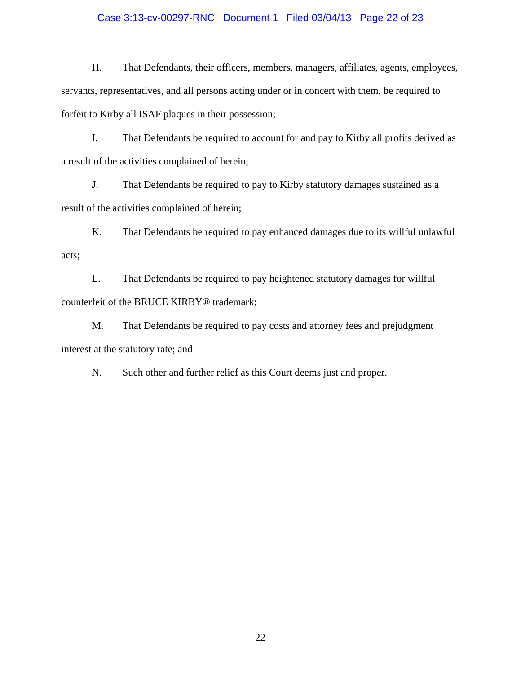# Case 3:13-cv-00297-RNC Document 1 Filed 03/04/13 Page 22 of 23

H. That Defendants, their officers, members, managers, affiliates, agents, employees, servants, representatives, and all persons acting under or in concert with them, be required to forfeit to Kirby all ISAF plaques in their possession;

I. That Defendants be required to account for and pay to Kirby all profits derived as a result of the activities complained of herein;

J. That Defendants be required to pay to Kirby statutory damages sustained as a result of the activities complained of herein;

K. That Defendants be required to pay enhanced damages due to its willful unlawful acts;

L. That Defendants be required to pay heightened statutory damages for willful counterfeit of the BRUCE KIRBY® trademark;

M. That Defendants be required to pay costs and attorney fees and prejudgment interest at the statutory rate; and

N. Such other and further relief as this Court deems just and proper.